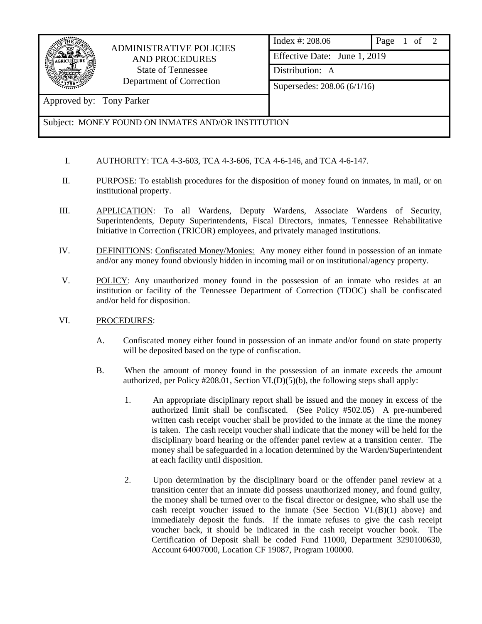

## ADMINISTRATIVE POLICIES AND PROCEDURES State of Tennessee Department of Correction

| Index #: 208.06              | Page 1 of 2 |  |  |  |
|------------------------------|-------------|--|--|--|
| Effective Date: June 1, 2019 |             |  |  |  |
| Distribution: A              |             |  |  |  |
| Supersedes: 208.06 (6/1/16)  |             |  |  |  |
|                              |             |  |  |  |

Approved by: Tony Parker

## Subject: MONEY FOUND ON INMATES AND/OR INSTITUTION

- I. AUTHORITY: TCA 4-3-603, TCA 4-3-606, TCA 4-6-146, and TCA 4-6-147.
- II. PURPOSE: To establish procedures for the disposition of money found on inmates, in mail, or on institutional property.
- III. APPLICATION: To all Wardens, Deputy Wardens, Associate Wardens of Security, Superintendents, Deputy Superintendents, Fiscal Directors, inmates, Tennessee Rehabilitative Initiative in Correction (TRICOR) employees, and privately managed institutions.
- IV. DEFINITIONS: Confiscated Money/Monies: Any money either found in possession of an inmate and/or any money found obviously hidden in incoming mail or on institutional/agency property.
- V. POLICY: Any unauthorized money found in the possession of an inmate who resides at an institution or facility of the Tennessee Department of Correction (TDOC) shall be confiscated and/or held for disposition.
- VI. PROCEDURES:
	- A. Confiscated money either found in possession of an inmate and/or found on state property will be deposited based on the type of confiscation.
	- B. When the amount of money found in the possession of an inmate exceeds the amount authorized, per Policy #208.01, Section VI.(D)(5)(b), the following steps shall apply:
		- 1. An appropriate disciplinary report shall be issued and the money in excess of the authorized limit shall be confiscated. (See Policy #502.05) A pre-numbered written cash receipt voucher shall be provided to the inmate at the time the money is taken. The cash receipt voucher shall indicate that the money will be held for the disciplinary board hearing or the offender panel review at a transition center. The money shall be safeguarded in a location determined by the Warden/Superintendent at each facility until disposition.
		- 2. Upon determination by the disciplinary board or the offender panel review at a transition center that an inmate did possess unauthorized money, and found guilty, the money shall be turned over to the fiscal director or designee, who shall use the cash receipt voucher issued to the inmate (See Section  $VI(B)(1)$  above) and immediately deposit the funds. If the inmate refuses to give the cash receipt voucher back, it should be indicated in the cash receipt voucher book. The Certification of Deposit shall be coded Fund 11000, Department 3290100630, Account 64007000, Location CF 19087, Program 100000.